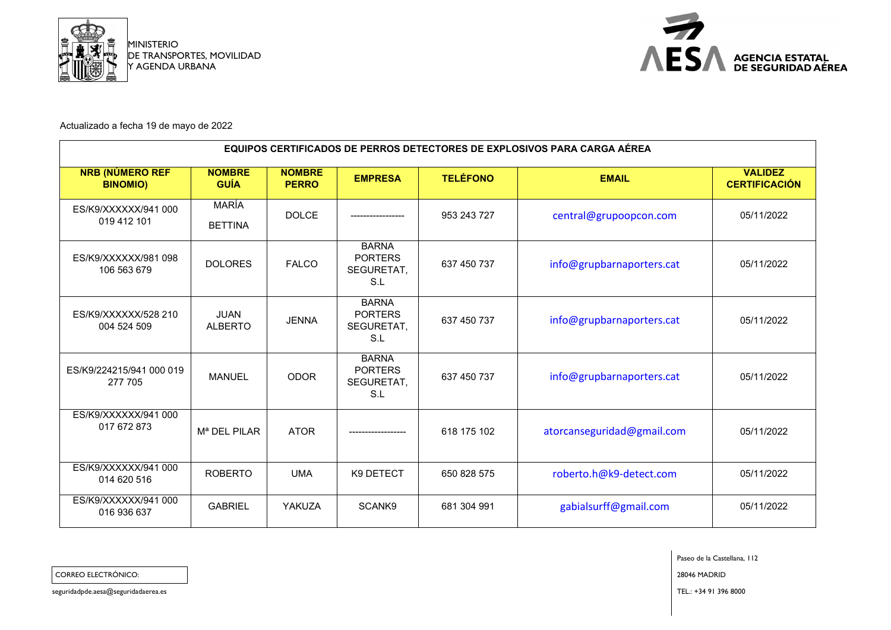



Actualizado a fecha 19 de mayo de 2022

| <b>EQUIPOS CERTIFICADOS DE PERROS DETECTORES DE EXPLOSIVOS PARA CARGA AÉREA</b> |                                |                               |                                                     |                 |                            |                                        |  |  |
|---------------------------------------------------------------------------------|--------------------------------|-------------------------------|-----------------------------------------------------|-----------------|----------------------------|----------------------------------------|--|--|
| <b>NRB (NÚMERO REF</b><br><b>BINOMIO)</b>                                       | <b>NOMBRE</b><br><b>GUÍA</b>   | <b>NOMBRE</b><br><b>PERRO</b> | <b>EMPRESA</b>                                      | <b>TELÉFONO</b> | <b>EMAIL</b>               | <b>VALIDEZ</b><br><b>CERTIFICACIÓN</b> |  |  |
| ES/K9/XXXXXX/941 000<br>019 412 101                                             | <b>MARÍA</b><br><b>BETTINA</b> | <b>DOLCE</b>                  |                                                     | 953 243 727     | central@grupoopcon.com     | 05/11/2022                             |  |  |
| ES/K9/XXXXXX/981 098<br>106 563 679                                             | <b>DOLORES</b>                 | <b>FALCO</b>                  | <b>BARNA</b><br><b>PORTERS</b><br>SEGURETAT,<br>S.L | 637 450 737     | info@grupbarnaporters.cat  | 05/11/2022                             |  |  |
| ES/K9/XXXXX/528 210<br>004 524 509                                              | <b>JUAN</b><br><b>ALBERTO</b>  | <b>JENNA</b>                  | <b>BARNA</b><br><b>PORTERS</b><br>SEGURETAT,<br>S.L | 637 450 737     | info@grupbarnaporters.cat  | 05/11/2022                             |  |  |
| ES/K9/224215/941 000 019<br>277 705                                             | <b>MANUEL</b>                  | <b>ODOR</b>                   | <b>BARNA</b><br><b>PORTERS</b><br>SEGURETAT,<br>S.L | 637 450 737     | info@grupbarnaporters.cat  | 05/11/2022                             |  |  |
| ES/K9/XXXXXX/941 000<br>017 672 873                                             | M <sup>a</sup> DEL PILAR       | <b>ATOR</b>                   |                                                     | 618 175 102     | atorcanseguridad@gmail.com | 05/11/2022                             |  |  |
| ES/K9/XXXXX/941 000<br>014 620 516                                              | <b>ROBERTO</b>                 | <b>UMA</b>                    | K9 DETECT                                           | 650 828 575     | roberto.h@k9-detect.com    | 05/11/2022                             |  |  |
| ES/K9/XXXXXX/941 000<br>016 936 637                                             | <b>GABRIEL</b>                 | YAKUZA                        | SCANK9                                              | 681 304 991     | gabialsurff@gmail.com      | 05/11/2022                             |  |  |

Paseo de la Castellana, 112

CORREO ELECTRÓNICO: 28046 MADRID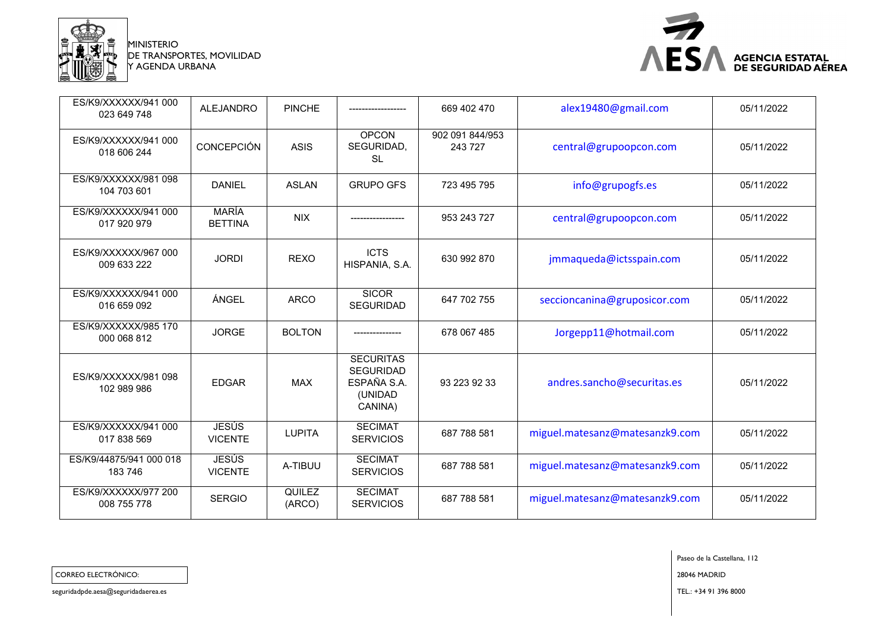

MINISTERIO DE TRANSPORTES, MOVILIDAD Y AGENDA URBANA



| ES/K9/XXXXXX/941 000<br>023 649 748 | <b>ALEJANDRO</b>               | <b>PINCHE</b>    | -------------------                                                       | 669 402 470                | alex19480@gmail.com            | 05/11/2022 |
|-------------------------------------|--------------------------------|------------------|---------------------------------------------------------------------------|----------------------------|--------------------------------|------------|
| ES/K9/XXXXXX/941 000<br>018 606 244 | <b>CONCEPCIÓN</b>              | <b>ASIS</b>      | <b>OPCON</b><br>SEGURIDAD,<br><b>SL</b>                                   | 902 091 844/953<br>243 727 | central@grupoopcon.com         | 05/11/2022 |
| ES/K9/XXXXXX/981 098<br>104 703 601 | <b>DANIEL</b>                  | <b>ASLAN</b>     | <b>GRUPO GFS</b>                                                          | 723 495 795                | info@grupogfs.es               | 05/11/2022 |
| ES/K9/XXXXXX/941 000<br>017 920 979 | <b>MARÍA</b><br><b>BETTINA</b> | <b>NIX</b>       | ------------------                                                        | 953 243 727                | central@grupoopcon.com         | 05/11/2022 |
| ES/K9/XXXXXX/967 000<br>009 633 222 | <b>JORDI</b>                   | <b>REXO</b>      | <b>ICTS</b><br>HISPANIA, S.A.                                             | 630 992 870                | jmmaqueda@ictsspain.com        | 05/11/2022 |
| ES/K9/XXXXXX/941 000<br>016 659 092 | ÁNGEL                          | <b>ARCO</b>      | <b>SICOR</b><br><b>SEGURIDAD</b>                                          | 647 702 755                | seccioncanina@gruposicor.com   | 05/11/2022 |
| ES/K9/XXXXX/985 170<br>000 068 812  | <b>JORGE</b>                   | <b>BOLTON</b>    |                                                                           | 678 067 485                | Jorgepp11@hotmail.com          | 05/11/2022 |
| ES/K9/XXXXX/981 098<br>102 989 986  | <b>EDGAR</b>                   | <b>MAX</b>       | <b>SECURITAS</b><br><b>SEGURIDAD</b><br>ESPAÑA S.A.<br>(UNIDAD<br>CANINA) | 93 223 92 33               | andres.sancho@securitas.es     | 05/11/2022 |
| ES/K9/XXXXX/941 000<br>017 838 569  | <b>JESÚS</b><br><b>VICENTE</b> | <b>LUPITA</b>    | <b>SECIMAT</b><br><b>SERVICIOS</b>                                        | 687 788 581                | miguel.matesanz@matesanzk9.com | 05/11/2022 |
| ES/K9/44875/941 000 018<br>183 746  | <b>JESÚS</b><br><b>VICENTE</b> | A-TIBUU          | <b>SECIMAT</b><br><b>SERVICIOS</b>                                        | 687 788 581                | miguel.matesanz@matesanzk9.com | 05/11/2022 |
| ES/K9/XXXXX/977 200<br>008 755 778  | <b>SERGIO</b>                  | QUILEZ<br>(ARCO) | <b>SECIMAT</b><br><b>SERVICIOS</b>                                        | 687 788 581                | miguel.matesanz@matesanzk9.com | 05/11/2022 |

Paseo de la Castellana, 112

CORREO ELECTRÓNICO: 28046 MADRID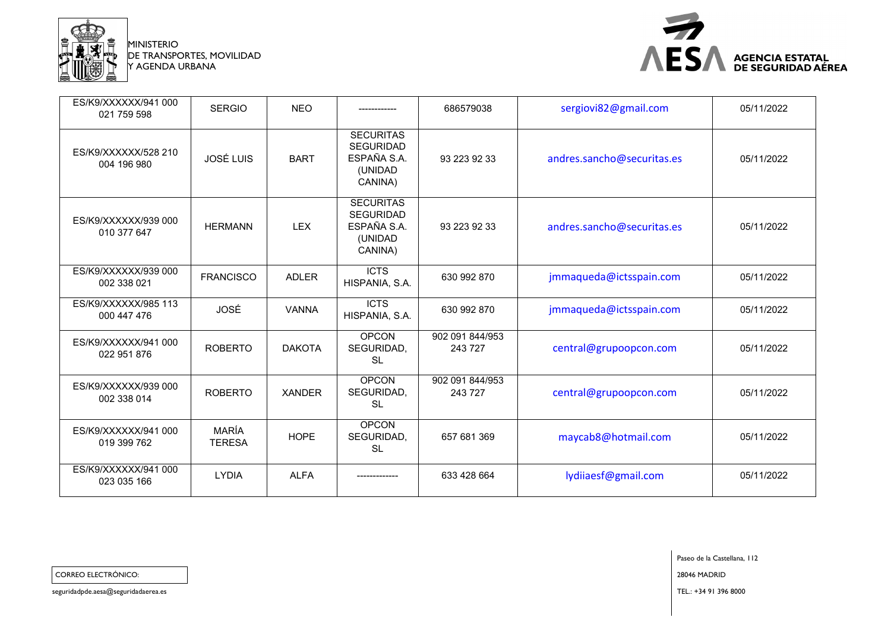

MINISTERIO DE TRANSPORTES, MOVILIDAD Y AGENDA URBANA



| ES/K9/XXXXX/941 000<br>021 759 598  | <b>SERGIO</b>                 | <b>NEO</b>    |                                                                           | 686579038                  | sergiovi82@gmail.com       | 05/11/2022 |
|-------------------------------------|-------------------------------|---------------|---------------------------------------------------------------------------|----------------------------|----------------------------|------------|
| ES/K9/XXXXX/528 210<br>004 196 980  | <b>JOSÉ LUIS</b>              | <b>BART</b>   | <b>SECURITAS</b><br><b>SEGURIDAD</b><br>ESPAÑA S.A.<br>(UNIDAD<br>CANINA) | 93 223 92 33               | andres.sancho@securitas.es | 05/11/2022 |
| ES/K9/XXXXXX/939 000<br>010 377 647 | <b>HERMANN</b>                | <b>LEX</b>    | <b>SECURITAS</b><br><b>SEGURIDAD</b><br>ESPAÑA S.A.<br>(UNIDAD<br>CANINA) | 93 223 92 33               | andres.sancho@securitas.es | 05/11/2022 |
| ES/K9/XXXXXX/939 000<br>002 338 021 | <b>FRANCISCO</b>              | <b>ADLER</b>  | <b>ICTS</b><br>HISPANIA, S.A.                                             | 630 992 870                | jmmaqueda@ictsspain.com    | 05/11/2022 |
| ES/K9/XXXXX/985 113<br>000 447 476  | JOSÉ                          | <b>VANNA</b>  | <b>ICTS</b><br>HISPANIA, S.A.                                             | 630 992 870                | jmmaqueda@ictsspain.com    | 05/11/2022 |
| ES/K9/XXXXXX/941 000<br>022 951 876 | <b>ROBERTO</b>                | <b>DAKOTA</b> | <b>OPCON</b><br>SEGURIDAD,<br><b>SL</b>                                   | 902 091 844/953<br>243 727 | central@grupoopcon.com     | 05/11/2022 |
| ES/K9/XXXXXX/939 000<br>002 338 014 | <b>ROBERTO</b>                | <b>XANDER</b> | <b>OPCON</b><br>SEGURIDAD,<br><b>SL</b>                                   | 902 091 844/953<br>243 727 | central@grupoopcon.com     | 05/11/2022 |
| ES/K9/XXXXXX/941 000<br>019 399 762 | <b>MARÍA</b><br><b>TERESA</b> | <b>HOPE</b>   | <b>OPCON</b><br>SEGURIDAD,<br><b>SL</b>                                   | 657 681 369                | maycab8@hotmail.com        | 05/11/2022 |
| ES/K9/XXXXXX/941 000<br>023 035 166 | <b>LYDIA</b>                  | <b>ALFA</b>   |                                                                           | 633 428 664                | lydiiaesf@gmail.com        | 05/11/2022 |

Paseo de la Castellana, 112 CORREO ELECTRÓNICO: 28046 MADRID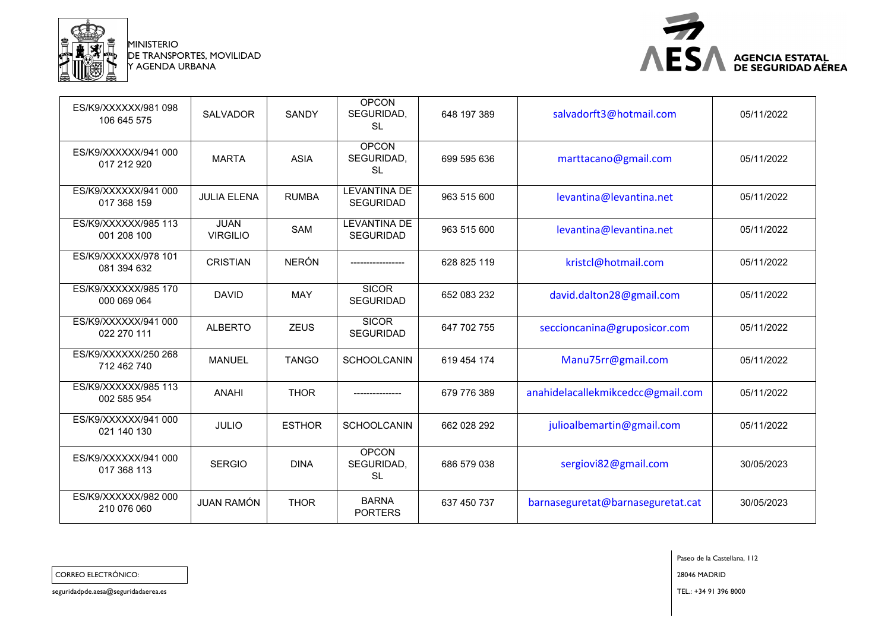

MINISTERIO DE TRANSPORTES, MOVILIDAD Y AGENDA URBANA



| ES/K9/XXXXX/981098<br>106 645 575   | <b>SALVADOR</b>                | SANDY         | <b>OPCON</b><br>SEGURIDAD,<br><b>SL</b> | 648 197 389 | salvadorft3@hotmail.com           | 05/11/2022 |
|-------------------------------------|--------------------------------|---------------|-----------------------------------------|-------------|-----------------------------------|------------|
| ES/K9/XXXXXX/941 000<br>017 212 920 | <b>MARTA</b>                   | <b>ASIA</b>   | <b>OPCON</b><br>SEGURIDAD,<br><b>SL</b> | 699 595 636 | marttacano@gmail.com              | 05/11/2022 |
| ES/K9/XXXXXX/941 000<br>017 368 159 | <b>JULIA ELENA</b>             | <b>RUMBA</b>  | <b>LEVANTINA DE</b><br><b>SEGURIDAD</b> | 963 515 600 | levantina@levantina.net           | 05/11/2022 |
| ES/K9/XXXXX/985 113<br>001 208 100  | <b>JUAN</b><br><b>VIRGILIO</b> | <b>SAM</b>    | <b>LEVANTINA DE</b><br><b>SEGURIDAD</b> | 963 515 600 | levantina@levantina.net           | 05/11/2022 |
| ES/K9/XXXXX/978 101<br>081 394 632  | <b>CRISTIAN</b>                | <b>NERÓN</b>  |                                         | 628 825 119 | kristcl@hotmail.com               | 05/11/2022 |
| ES/K9/XXXXX/985 170<br>000 069 064  | <b>DAVID</b>                   | <b>MAY</b>    | <b>SICOR</b><br><b>SEGURIDAD</b>        | 652 083 232 | david.dalton28@gmail.com          | 05/11/2022 |
| ES/K9/XXXXX/941 000<br>022 270 111  | <b>ALBERTO</b>                 | <b>ZEUS</b>   | <b>SICOR</b><br><b>SEGURIDAD</b>        | 647 702 755 | seccioncanina@gruposicor.com      | 05/11/2022 |
| ES/K9/XXXXX/250 268<br>712 462 740  | <b>MANUEL</b>                  | <b>TANGO</b>  | <b>SCHOOLCANIN</b>                      | 619 454 174 | Manu75rr@gmail.com                | 05/11/2022 |
| ES/K9/XXXXX/985 113<br>002 585 954  | <b>ANAHI</b>                   | <b>THOR</b>   |                                         | 679 776 389 | anahidelacallekmikcedcc@gmail.com | 05/11/2022 |
| ES/K9/XXXXX/941 000<br>021 140 130  | <b>JULIO</b>                   | <b>ESTHOR</b> | <b>SCHOOLCANIN</b>                      | 662 028 292 | julioalbemartin@gmail.com         | 05/11/2022 |
| ES/K9/XXXXXX/941 000<br>017 368 113 | <b>SERGIO</b>                  | <b>DINA</b>   | <b>OPCON</b><br>SEGURIDAD,<br><b>SL</b> | 686 579 038 | sergiovi82@gmail.com              | 30/05/2023 |
| ES/K9/XXXXXX/982 000<br>210 076 060 | <b>JUAN RAMÓN</b>              | <b>THOR</b>   | <b>BARNA</b><br><b>PORTERS</b>          | 637 450 737 | barnaseguretat@barnaseguretat.cat | 30/05/2023 |

Paseo de la Castellana, 112

CORREO ELECTRÓNICO: 28046 MADRID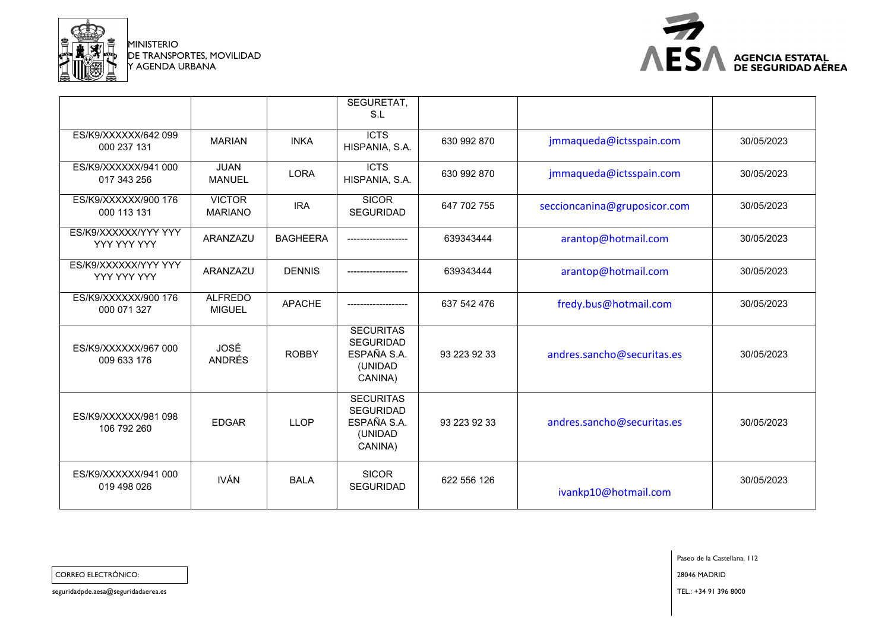

MINISTERIO DE TRANSPORTES, MOVILIDAD Y AGENDA URBANA



|                                     |                                 |                 | SEGURETAT,<br>S.L                                                         |              |                              |            |
|-------------------------------------|---------------------------------|-----------------|---------------------------------------------------------------------------|--------------|------------------------------|------------|
| ES/K9/XXXXX/642 099<br>000 237 131  | <b>MARIAN</b>                   | <b>INKA</b>     | <b>ICTS</b><br>HISPANIA, S.A.                                             | 630 992 870  | jmmaqueda@ictsspain.com      | 30/05/2023 |
| ES/K9/XXXXX/941 000<br>017 343 256  | <b>JUAN</b><br><b>MANUEL</b>    | <b>LORA</b>     | <b>ICTS</b><br>HISPANIA, S.A.                                             | 630 992 870  | jmmaqueda@ictsspain.com      | 30/05/2023 |
| ES/K9/XXXXX/900 176<br>000 113 131  | <b>VICTOR</b><br><b>MARIANO</b> | <b>IRA</b>      | <b>SICOR</b><br><b>SEGURIDAD</b>                                          | 647 702 755  | seccioncanina@gruposicor.com | 30/05/2023 |
| ES/K9/XXXXXX/YYY YYY<br>YYY YYY YYY | ARANZAZU                        | <b>BAGHEERA</b> |                                                                           | 639343444    | arantop@hotmail.com          | 30/05/2023 |
| ES/K9/XXXXXX/YYY YYY<br>YYY YYY YYY | ARANZAZU                        | <b>DENNIS</b>   |                                                                           | 639343444    | arantop@hotmail.com          | 30/05/2023 |
| ES/K9/XXXXXX/900 176<br>000 071 327 | <b>ALFREDO</b><br><b>MIGUEL</b> | <b>APACHE</b>   |                                                                           | 637 542 476  | fredy.bus@hotmail.com        | 30/05/2023 |
| ES/K9/XXXXXX/967 000<br>009 633 176 | JOSÉ<br><b>ANDRÉS</b>           | <b>ROBBY</b>    | <b>SECURITAS</b><br><b>SEGURIDAD</b><br>ESPAÑA S.A.<br>(UNIDAD<br>CANINA) | 93 223 92 33 | andres.sancho@securitas.es   | 30/05/2023 |
| ES/K9/XXXXX/981 098<br>106 792 260  | <b>EDGAR</b>                    | <b>LLOP</b>     | <b>SECURITAS</b><br><b>SEGURIDAD</b><br>ESPAÑA S.A.<br>(UNIDAD<br>CANINA) | 93 223 92 33 | andres.sancho@securitas.es   | 30/05/2023 |
| ES/K9/XXXXXX/941 000<br>019 498 026 | <b>IVÁN</b>                     | <b>BALA</b>     | <b>SICOR</b><br><b>SEGURIDAD</b>                                          | 622 556 126  | ivankp10@hotmail.com         | 30/05/2023 |
|                                     |                                 |                 |                                                                           |              |                              |            |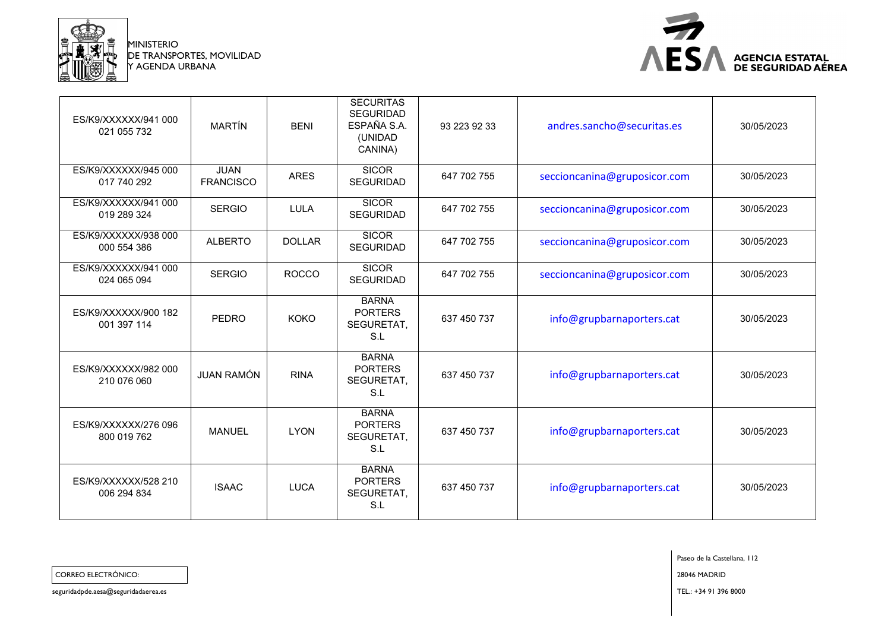

MINISTERIO DE TRANSPORTES, MOVILIDAD Y AGENDA URBANA



| ES/K9/XXXXXX/941 000<br>021 055 732 | <b>MARTÍN</b>                   | <b>BENI</b>   | <b>SECURITAS</b><br><b>SEGURIDAD</b><br>ESPAÑA S.A.<br>(UNIDAD<br>CANINA) | 93 223 92 33 | andres.sancho@securitas.es   | 30/05/2023 |
|-------------------------------------|---------------------------------|---------------|---------------------------------------------------------------------------|--------------|------------------------------|------------|
| ES/K9/XXXXXX/945 000<br>017 740 292 | <b>JUAN</b><br><b>FRANCISCO</b> | <b>ARES</b>   | <b>SICOR</b><br><b>SEGURIDAD</b>                                          | 647 702 755  | seccioncanina@gruposicor.com | 30/05/2023 |
| ES/K9/XXXXX/941 000<br>019 289 324  | <b>SERGIO</b>                   | <b>LULA</b>   | <b>SICOR</b><br><b>SEGURIDAD</b>                                          | 647 702 755  | seccioncanina@gruposicor.com | 30/05/2023 |
| ES/K9/XXXXX/938 000<br>000 554 386  | <b>ALBERTO</b>                  | <b>DOLLAR</b> | <b>SICOR</b><br><b>SEGURIDAD</b>                                          | 647 702 755  | seccioncanina@gruposicor.com | 30/05/2023 |
| ES/K9/XXXXXX/941 000<br>024 065 094 | <b>SERGIO</b>                   | <b>ROCCO</b>  | <b>SICOR</b><br><b>SEGURIDAD</b>                                          | 647 702 755  | seccioncanina@gruposicor.com | 30/05/2023 |
| ES/K9/XXXXX/900 182<br>001 397 114  | <b>PEDRO</b>                    | <b>KOKO</b>   | <b>BARNA</b><br><b>PORTERS</b><br>SEGURETAT,<br>S.L                       | 637 450 737  | info@grupbarnaporters.cat    | 30/05/2023 |
| ES/K9/XXXXX/982 000<br>210 076 060  | <b>JUAN RAMÓN</b>               | <b>RINA</b>   | <b>BARNA</b><br><b>PORTERS</b><br>SEGURETAT,<br>S.L                       | 637 450 737  | info@grupbarnaporters.cat    | 30/05/2023 |
| ES/K9/XXXXX/276 096<br>800 019 762  | <b>MANUEL</b>                   | <b>LYON</b>   | <b>BARNA</b><br><b>PORTERS</b><br>SEGURETAT,<br>S.L                       | 637 450 737  | info@grupbarnaporters.cat    | 30/05/2023 |
| ES/K9/XXXXX/528 210<br>006 294 834  | <b>ISAAC</b>                    | <b>LUCA</b>   | <b>BARNA</b><br><b>PORTERS</b><br>SEGURETAT,<br>S.L                       | 637 450 737  | info@grupbarnaporters.cat    | 30/05/2023 |

Paseo de la Castellana, 112

CORREO ELECTRÓNICO: 28046 MADRID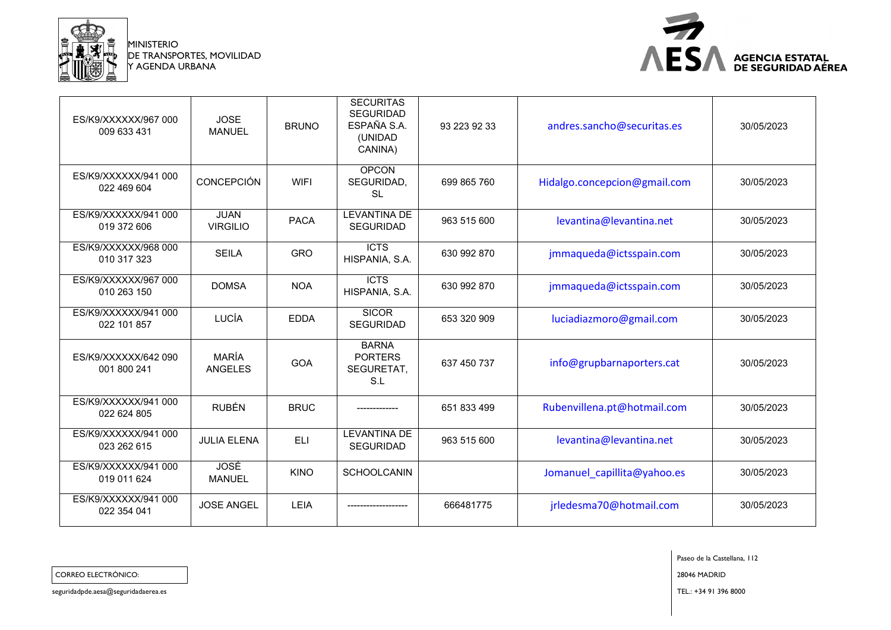

MINISTERIO DE TRANSPORTES, MOVILIDAD Y AGENDA URBANA



| ES/K9/XXXXXX/967 000<br>009 633 431 | <b>JOSE</b><br><b>MANUEL</b>   | <b>BRUNO</b> | <b>SECURITAS</b><br><b>SEGURIDAD</b><br>ESPAÑA S.A.<br>(UNIDAD<br>CANINA) | 93 223 92 33 | andres.sancho@securitas.es   | 30/05/2023 |
|-------------------------------------|--------------------------------|--------------|---------------------------------------------------------------------------|--------------|------------------------------|------------|
| ES/K9/XXXXXX/941 000<br>022 469 604 | <b>CONCEPCIÓN</b>              | <b>WIFI</b>  | <b>OPCON</b><br>SEGURIDAD,<br><b>SL</b>                                   | 699 865 760  | Hidalgo.concepcion@gmail.com | 30/05/2023 |
| ES/K9/XXXXX/941 000<br>019 372 606  | <b>JUAN</b><br><b>VIRGILIO</b> | <b>PACA</b>  | <b>LEVANTINA DE</b><br><b>SEGURIDAD</b>                                   | 963 515 600  | levantina@levantina.net      | 30/05/2023 |
| ES/K9/XXXXXX/968 000<br>010 317 323 | <b>SEILA</b>                   | <b>GRO</b>   | <b>ICTS</b><br>HISPANIA, S.A.                                             | 630 992 870  | jmmaqueda@ictsspain.com      | 30/05/2023 |
| ES/K9/XXXXXX/967 000<br>010 263 150 | <b>DOMSA</b>                   | <b>NOA</b>   | <b>ICTS</b><br>HISPANIA, S.A.                                             | 630 992 870  | jmmaqueda@ictsspain.com      | 30/05/2023 |
| ES/K9/XXXXXX/941 000<br>022 101 857 | LUCÍA                          | <b>EDDA</b>  | <b>SICOR</b><br><b>SEGURIDAD</b>                                          | 653 320 909  | luciadiazmoro@gmail.com      | 30/05/2023 |
| ES/K9/XXXXXX/642 090<br>001 800 241 | <b>MARÍA</b><br><b>ANGELES</b> | GOA          | <b>BARNA</b><br><b>PORTERS</b><br>SEGURETAT,<br>S.L                       | 637 450 737  | info@grupbarnaporters.cat    | 30/05/2023 |
| ES/K9/XXXXXX/941 000<br>022 624 805 | <b>RUBÉN</b>                   | <b>BRUC</b>  |                                                                           | 651 833 499  | Rubenvillena.pt@hotmail.com  | 30/05/2023 |
| ES/K9/XXXXX/941 000<br>023 262 615  | <b>JULIA ELENA</b>             | ELI          | <b>LEVANTINA DE</b><br><b>SEGURIDAD</b>                                   | 963 515 600  | levantina@levantina.net      | 30/05/2023 |
| ES/K9/XXXXX/941 000<br>019 011 624  | <b>JOSÉ</b><br><b>MANUEL</b>   | <b>KINO</b>  | <b>SCHOOLCANIN</b>                                                        |              | Jomanuel capillita@yahoo.es  | 30/05/2023 |
| ES/K9/XXXXXX/941 000<br>022 354 041 | <b>JOSE ANGEL</b>              | LEIA         |                                                                           | 666481775    | jrledesma70@hotmail.com      | 30/05/2023 |

CORREO ELECTRÓNICO: 28046 MADRID

Paseo de la Castellana, 112